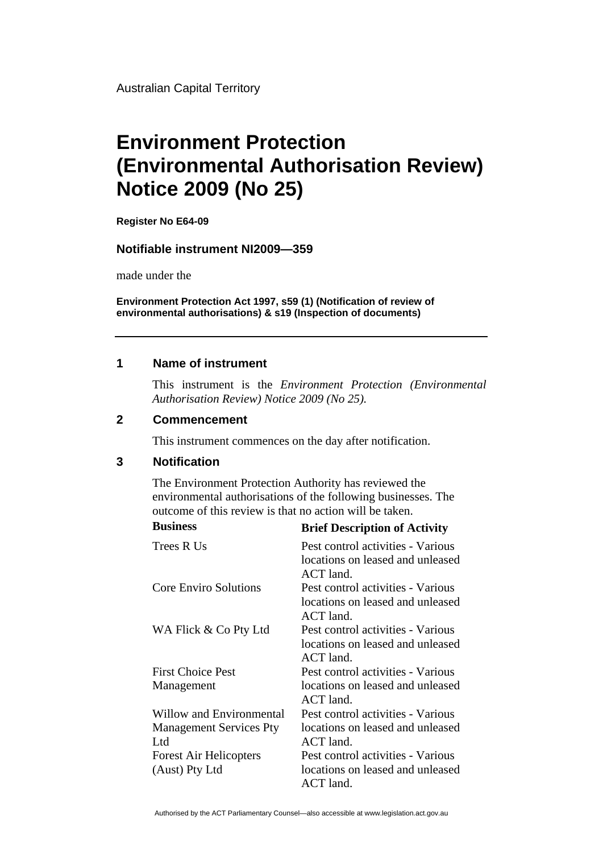Australian Capital Territory

# **Environment Protection (Environmental Authorisation Review) Notice 2009 (No 25)**

**Register No E64-09**

#### **Notifiable instrument NI2009—359**

made under the

**Environment Protection Act 1997, s59 (1) (Notification of review of environmental authorisations) & s19 (Inspection of documents)**

### **1 Name of instrument**

This instrument is the *Environment Protection (Environmental Authorisation Review) Notice 2009 (No 25).* 

#### **2 Commencement**

This instrument commences on the day after notification.

## **3 Notification**

The Environment Protection Authority has reviewed the environmental authorisations of the following businesses. The outcome of this review is that no action will be taken.

| <b>Business</b>                | <b>Brief Description of Activity</b>                                               |
|--------------------------------|------------------------------------------------------------------------------------|
| Trees R Us                     | Pest control activities - Various<br>locations on leased and unleased<br>ACT land. |
| <b>Core Enviro Solutions</b>   | Pest control activities - Various<br>locations on leased and unleased<br>ACT land. |
| WA Flick & Co Pty Ltd          | Pest control activities - Various<br>locations on leased and unleased<br>ACT land. |
| <b>First Choice Pest</b>       | Pest control activities - Various                                                  |
| Management                     | locations on leased and unleased<br>ACT land.                                      |
| Willow and Environmental       | Pest control activities - Various                                                  |
| <b>Management Services Pty</b> | locations on leased and unleased                                                   |
| Ltd                            | ACT land.                                                                          |
| <b>Forest Air Helicopters</b>  | Pest control activities - Various                                                  |
| (Aust) Pty Ltd                 | locations on leased and unleased<br>ACT land.                                      |